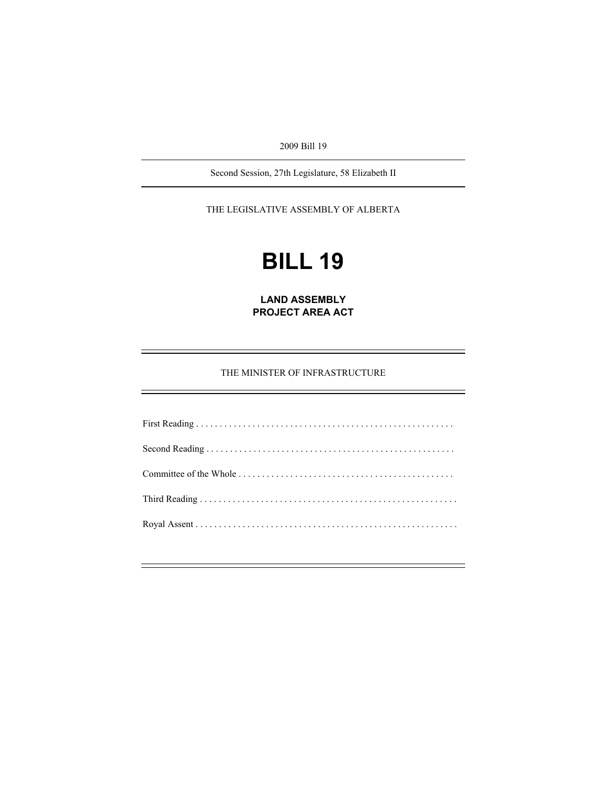2009 Bill 19

Second Session, 27th Legislature, 58 Elizabeth II

THE LEGISLATIVE ASSEMBLY OF ALBERTA

# **BILL 19**

**LAND ASSEMBLY PROJECT AREA ACT** 

THE MINISTER OF INFRASTRUCTURE

First Reading . . . . . . . . . . . . . . . . . . . . . . . . . . . . . . . . . . . . . . . . . . . . . . . . . . . . . . . Second Reading . . . . . . . . . . . . . . . . . . . . . . . . . . . . . . . . . . . . . . . . . . . . . . . . . . . . . Committee of the Whole . . . . . . . . . . . . . . . . . . . . . . . . . . . . . . . . . . . . . . . . . . . . . . Third Reading . . . . . . . . . . . . . . . . . . . . . . . . . . . . . . . . . . . . . . . . . . . . . . . . . . . . . . . Royal Assent . . . . . . . . . . . . . . . . . . . . . . . . . . . . . . . . . . . . . . . . . . . . . . . . . . . . . . . .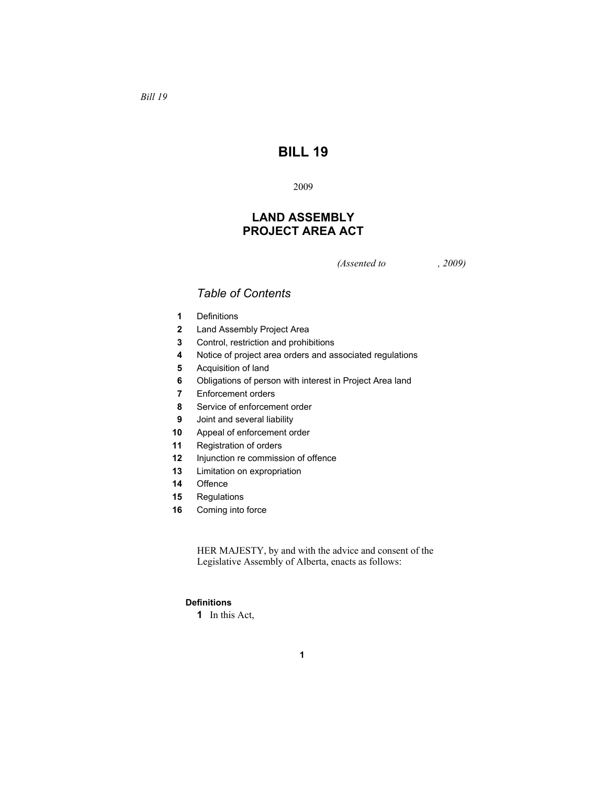# **BILL 19**

## **LAND ASSEMBLY PROJECT AREA ACT**

*(Assented to , 2009)* 

### *Table of Contents*

- Definitions
- Land Assembly Project Area
- Control, restriction and prohibitions
- Notice of project area orders and associated regulations
- Acquisition of land
- Obligations of person with interest in Project Area land
- Enforcement orders
- Service of enforcement order
- Joint and several liability
- Appeal of enforcement order
- Registration of orders
- Injunction re commission of offence
- Limitation on expropriation
- Offence
- Regulations
- Coming into force

HER MAJESTY, by and with the advice and consent of the Legislative Assembly of Alberta, enacts as follows:

#### **Definitions**

In this Act,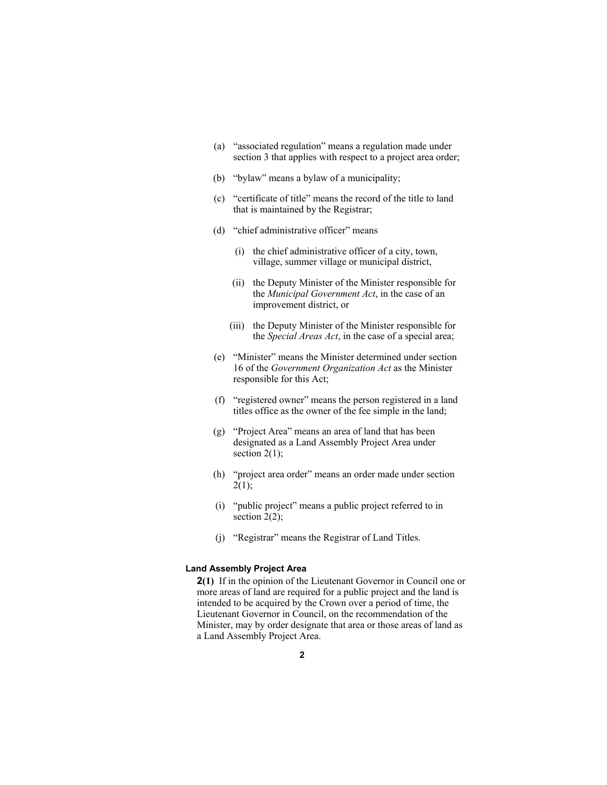- (a) "associated regulation" means a regulation made under section 3 that applies with respect to a project area order;
- (b) "bylaw" means a bylaw of a municipality;
- (c) "certificate of title" means the record of the title to land that is maintained by the Registrar;
- (d) "chief administrative officer" means
	- (i) the chief administrative officer of a city, town, village, summer village or municipal district,
	- (ii) the Deputy Minister of the Minister responsible for the *Municipal Government Act*, in the case of an improvement district, or
	- (iii) the Deputy Minister of the Minister responsible for the *Special Areas Act*, in the case of a special area;
- (e) "Minister" means the Minister determined under section 16 of the *Government Organization Act* as the Minister responsible for this Act;
- (f) "registered owner" means the person registered in a land titles office as the owner of the fee simple in the land;
- (g) "Project Area" means an area of land that has been designated as a Land Assembly Project Area under section  $2(1)$ ;
- (h) "project area order" means an order made under section  $2(1);$
- (i) "public project" means a public project referred to in section  $2(2)$ ;
- (j) "Registrar" means the Registrar of Land Titles.

#### **Land Assembly Project Area**

**2(1)** If in the opinion of the Lieutenant Governor in Council one or more areas of land are required for a public project and the land is intended to be acquired by the Crown over a period of time, the Lieutenant Governor in Council, on the recommendation of the Minister, may by order designate that area or those areas of land as a Land Assembly Project Area.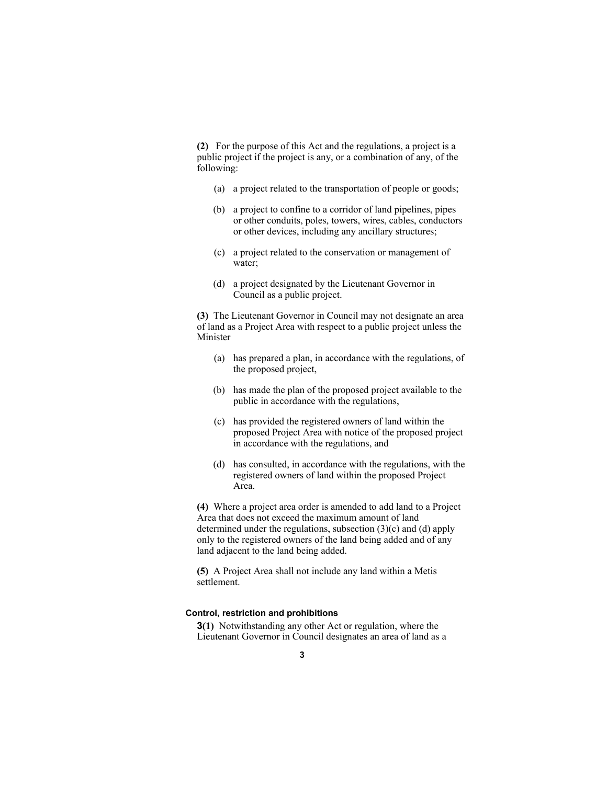**(2)** For the purpose of this Act and the regulations, a project is a public project if the project is any, or a combination of any, of the following:

- (a) a project related to the transportation of people or goods;
- (b) a project to confine to a corridor of land pipelines, pipes or other conduits, poles, towers, wires, cables, conductors or other devices, including any ancillary structures;
- (c) a project related to the conservation or management of water;
- (d) a project designated by the Lieutenant Governor in Council as a public project.

**(3)** The Lieutenant Governor in Council may not designate an area of land as a Project Area with respect to a public project unless the Minister

- (a) has prepared a plan, in accordance with the regulations, of the proposed project,
- (b) has made the plan of the proposed project available to the public in accordance with the regulations,
- (c) has provided the registered owners of land within the proposed Project Area with notice of the proposed project in accordance with the regulations, and
- (d) has consulted, in accordance with the regulations, with the registered owners of land within the proposed Project Area.

**(4)** Where a project area order is amended to add land to a Project Area that does not exceed the maximum amount of land determined under the regulations, subsection (3)(c) and (d) apply only to the registered owners of the land being added and of any land adjacent to the land being added.

**(5)** A Project Area shall not include any land within a Metis settlement.

#### **Control, restriction and prohibitions**

**3(1)** Notwithstanding any other Act or regulation, where the Lieutenant Governor in Council designates an area of land as a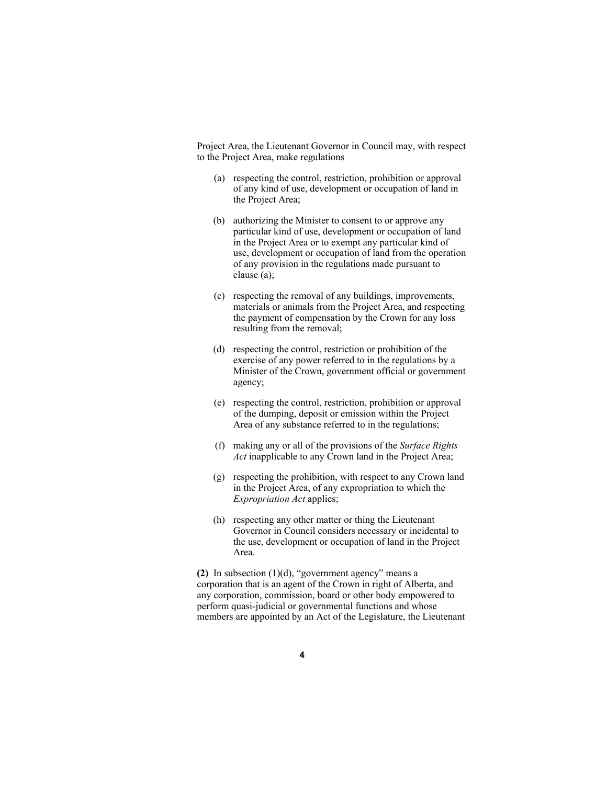Project Area, the Lieutenant Governor in Council may, with respect to the Project Area, make regulations

- (a) respecting the control, restriction, prohibition or approval of any kind of use, development or occupation of land in the Project Area;
- (b) authorizing the Minister to consent to or approve any particular kind of use, development or occupation of land in the Project Area or to exempt any particular kind of use, development or occupation of land from the operation of any provision in the regulations made pursuant to clause (a);
- (c) respecting the removal of any buildings, improvements, materials or animals from the Project Area, and respecting the payment of compensation by the Crown for any loss resulting from the removal;
- (d) respecting the control, restriction or prohibition of the exercise of any power referred to in the regulations by a Minister of the Crown, government official or government agency;
- (e) respecting the control, restriction, prohibition or approval of the dumping, deposit or emission within the Project Area of any substance referred to in the regulations;
- (f) making any or all of the provisions of the *Surface Rights Act* inapplicable to any Crown land in the Project Area;
- (g) respecting the prohibition, with respect to any Crown land in the Project Area, of any expropriation to which the *Expropriation Act* applies;
- (h) respecting any other matter or thing the Lieutenant Governor in Council considers necessary or incidental to the use, development or occupation of land in the Project Area.

**(2)** In subsection (1)(d), "government agency" means a corporation that is an agent of the Crown in right of Alberta, and any corporation, commission, board or other body empowered to perform quasi-judicial or governmental functions and whose members are appointed by an Act of the Legislature, the Lieutenant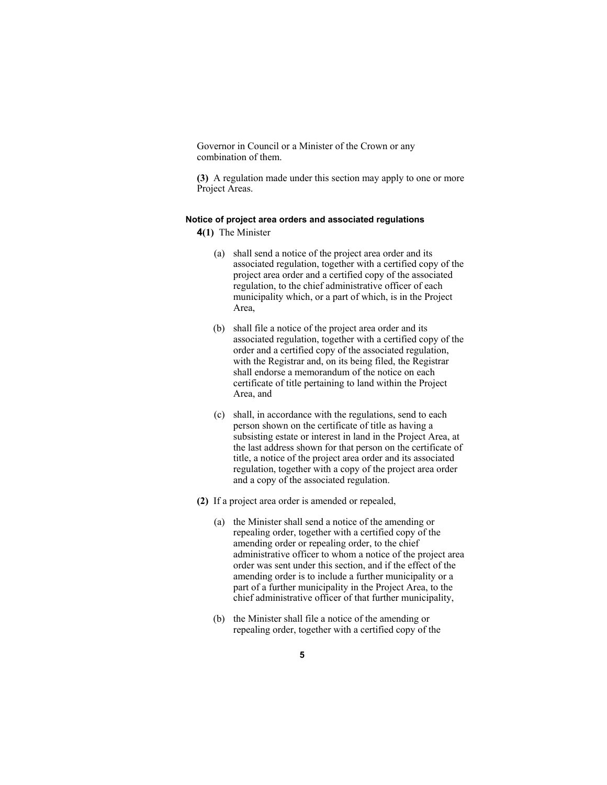Governor in Council or a Minister of the Crown or any combination of them.

**(3)** A regulation made under this section may apply to one or more Project Areas.

#### **Notice of project area orders and associated regulations**

**4(1)** The Minister

- (a) shall send a notice of the project area order and its associated regulation, together with a certified copy of the project area order and a certified copy of the associated regulation, to the chief administrative officer of each municipality which, or a part of which, is in the Project Area,
- (b) shall file a notice of the project area order and its associated regulation, together with a certified copy of the order and a certified copy of the associated regulation, with the Registrar and, on its being filed, the Registrar shall endorse a memorandum of the notice on each certificate of title pertaining to land within the Project Area, and
- (c) shall, in accordance with the regulations, send to each person shown on the certificate of title as having a subsisting estate or interest in land in the Project Area, at the last address shown for that person on the certificate of title, a notice of the project area order and its associated regulation, together with a copy of the project area order and a copy of the associated regulation.
- **(2)** If a project area order is amended or repealed,
	- (a) the Minister shall send a notice of the amending or repealing order, together with a certified copy of the amending order or repealing order, to the chief administrative officer to whom a notice of the project area order was sent under this section, and if the effect of the amending order is to include a further municipality or a part of a further municipality in the Project Area, to the chief administrative officer of that further municipality,
	- (b) the Minister shall file a notice of the amending or repealing order, together with a certified copy of the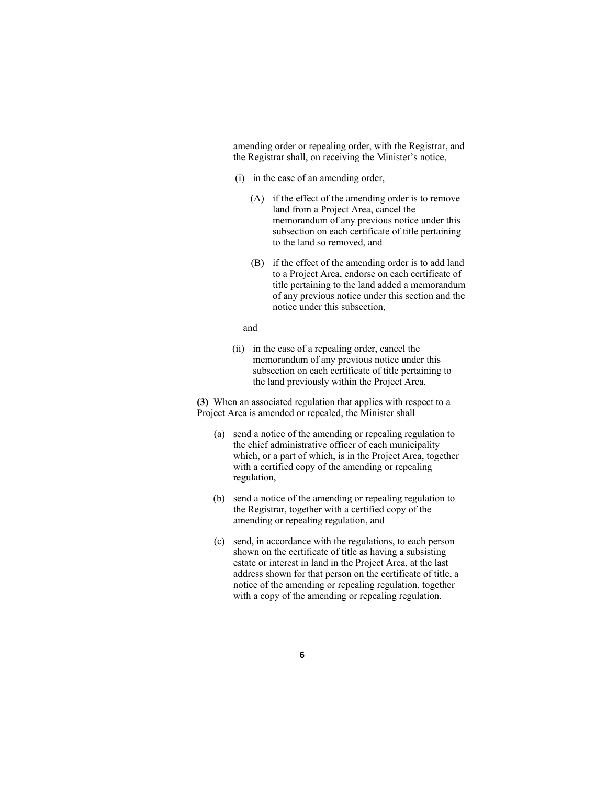amending order or repealing order, with the Registrar, and the Registrar shall, on receiving the Minister's notice,

- (i) in the case of an amending order,
	- (A) if the effect of the amending order is to remove land from a Project Area, cancel the memorandum of any previous notice under this subsection on each certificate of title pertaining to the land so removed, and
	- (B) if the effect of the amending order is to add land to a Project Area, endorse on each certificate of title pertaining to the land added a memorandum of any previous notice under this section and the notice under this subsection,

#### and

 (ii) in the case of a repealing order, cancel the memorandum of any previous notice under this subsection on each certificate of title pertaining to the land previously within the Project Area.

**(3)** When an associated regulation that applies with respect to a Project Area is amended or repealed, the Minister shall

- (a) send a notice of the amending or repealing regulation to the chief administrative officer of each municipality which, or a part of which, is in the Project Area, together with a certified copy of the amending or repealing regulation,
- (b) send a notice of the amending or repealing regulation to the Registrar, together with a certified copy of the amending or repealing regulation, and
- (c) send, in accordance with the regulations, to each person shown on the certificate of title as having a subsisting estate or interest in land in the Project Area, at the last address shown for that person on the certificate of title, a notice of the amending or repealing regulation, together with a copy of the amending or repealing regulation.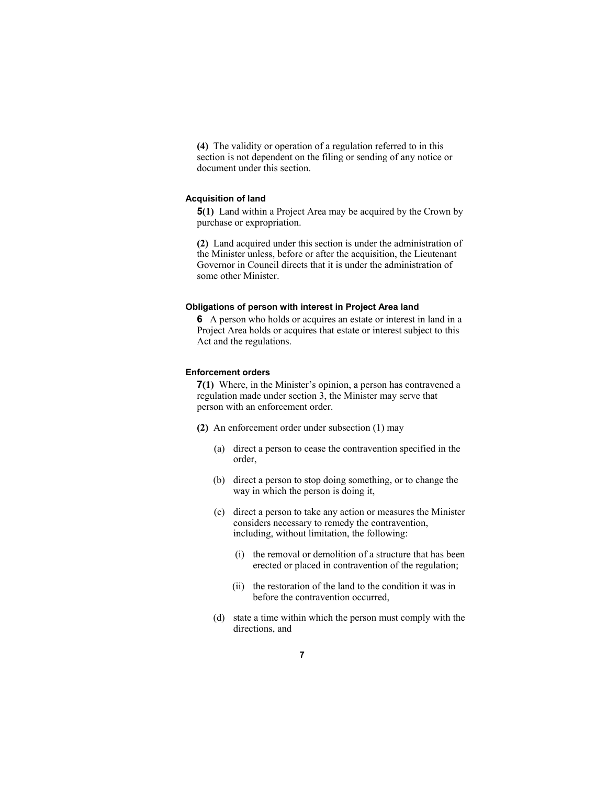**(4)** The validity or operation of a regulation referred to in this section is not dependent on the filing or sending of any notice or document under this section.

#### **Acquisition of land**

**5(1)** Land within a Project Area may be acquired by the Crown by purchase or expropriation.

**(2)** Land acquired under this section is under the administration of the Minister unless, before or after the acquisition, the Lieutenant Governor in Council directs that it is under the administration of some other Minister.

#### **Obligations of person with interest in Project Area land**

**6** A person who holds or acquires an estate or interest in land in a Project Area holds or acquires that estate or interest subject to this Act and the regulations.

#### **Enforcement orders**

**7(1)** Where, in the Minister's opinion, a person has contravened a regulation made under section 3, the Minister may serve that person with an enforcement order.

- **(2)** An enforcement order under subsection (1) may
	- (a) direct a person to cease the contravention specified in the order,
	- (b) direct a person to stop doing something, or to change the way in which the person is doing it,
	- (c) direct a person to take any action or measures the Minister considers necessary to remedy the contravention, including, without limitation, the following:
		- (i) the removal or demolition of a structure that has been erected or placed in contravention of the regulation;
		- (ii) the restoration of the land to the condition it was in before the contravention occurred,
	- (d) state a time within which the person must comply with the directions, and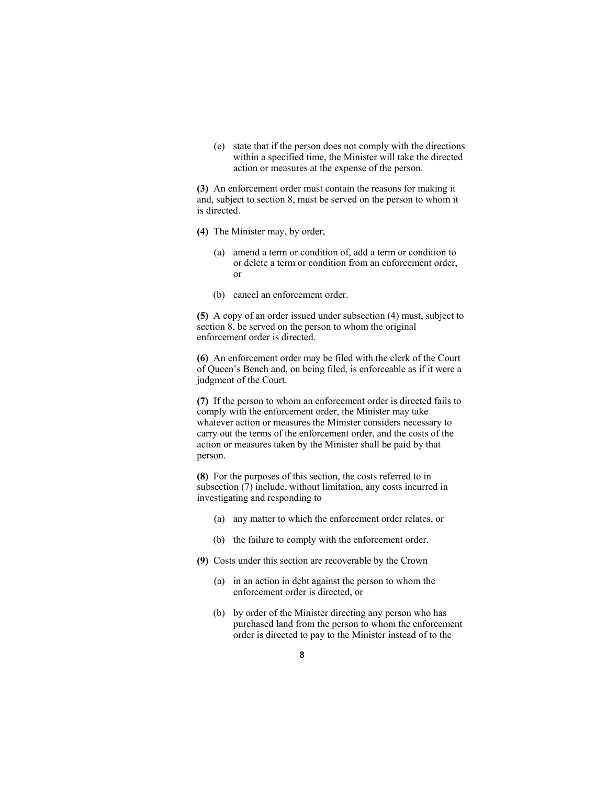(e) state that if the person does not comply with the directions within a specified time, the Minister will take the directed action or measures at the expense of the person.

**(3)** An enforcement order must contain the reasons for making it and, subject to section 8, must be served on the person to whom it is directed.

- **(4)** The Minister may, by order,
	- (a) amend a term or condition of, add a term or condition to or delete a term or condition from an enforcement order, or
	- (b) cancel an enforcement order.

**(5)** A copy of an order issued under subsection (4) must, subject to section 8, be served on the person to whom the original enforcement order is directed.

**(6)** An enforcement order may be filed with the clerk of the Court of Queen's Bench and, on being filed, is enforceable as if it were a judgment of the Court.

**(7)** If the person to whom an enforcement order is directed fails to comply with the enforcement order, the Minister may take whatever action or measures the Minister considers necessary to carry out the terms of the enforcement order, and the costs of the action or measures taken by the Minister shall be paid by that person.

**(8)** For the purposes of this section, the costs referred to in subsection (7) include, without limitation, any costs incurred in investigating and responding to

- (a) any matter to which the enforcement order relates, or
- (b) the failure to comply with the enforcement order.
- **(9)** Costs under this section are recoverable by the Crown
	- (a) in an action in debt against the person to whom the enforcement order is directed, or
	- (b) by order of the Minister directing any person who has purchased land from the person to whom the enforcement order is directed to pay to the Minister instead of to the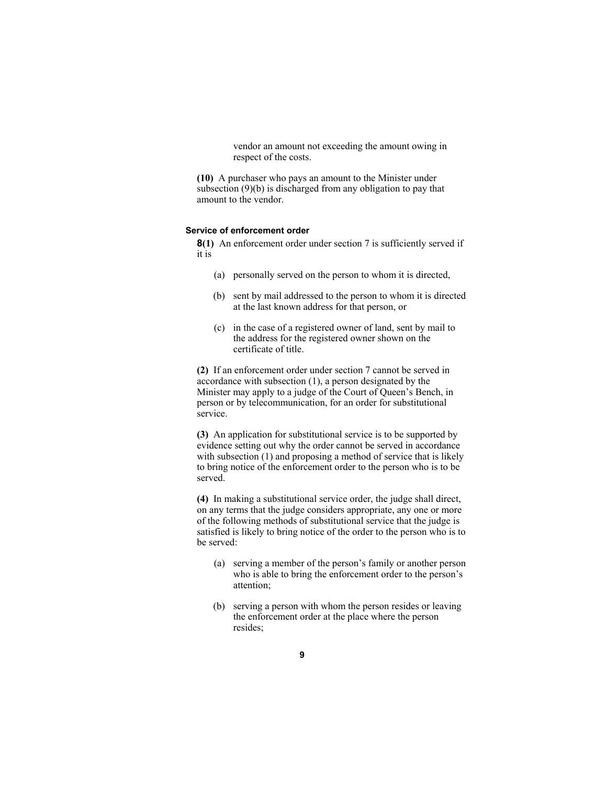vendor an amount not exceeding the amount owing in respect of the costs.

**(10)** A purchaser who pays an amount to the Minister under subsection (9)(b) is discharged from any obligation to pay that amount to the vendor.

#### **Service of enforcement order**

**8(1)** An enforcement order under section 7 is sufficiently served if it is

- (a) personally served on the person to whom it is directed,
- (b) sent by mail addressed to the person to whom it is directed at the last known address for that person, or
- (c) in the case of a registered owner of land, sent by mail to the address for the registered owner shown on the certificate of title.

**(2)** If an enforcement order under section 7 cannot be served in accordance with subsection (1), a person designated by the Minister may apply to a judge of the Court of Queen's Bench, in person or by telecommunication, for an order for substitutional service.

**(3)** An application for substitutional service is to be supported by evidence setting out why the order cannot be served in accordance with subsection (1) and proposing a method of service that is likely to bring notice of the enforcement order to the person who is to be served.

**(4)** In making a substitutional service order, the judge shall direct, on any terms that the judge considers appropriate, any one or more of the following methods of substitutional service that the judge is satisfied is likely to bring notice of the order to the person who is to be served:

- (a) serving a member of the person's family or another person who is able to bring the enforcement order to the person's attention;
- (b) serving a person with whom the person resides or leaving the enforcement order at the place where the person resides;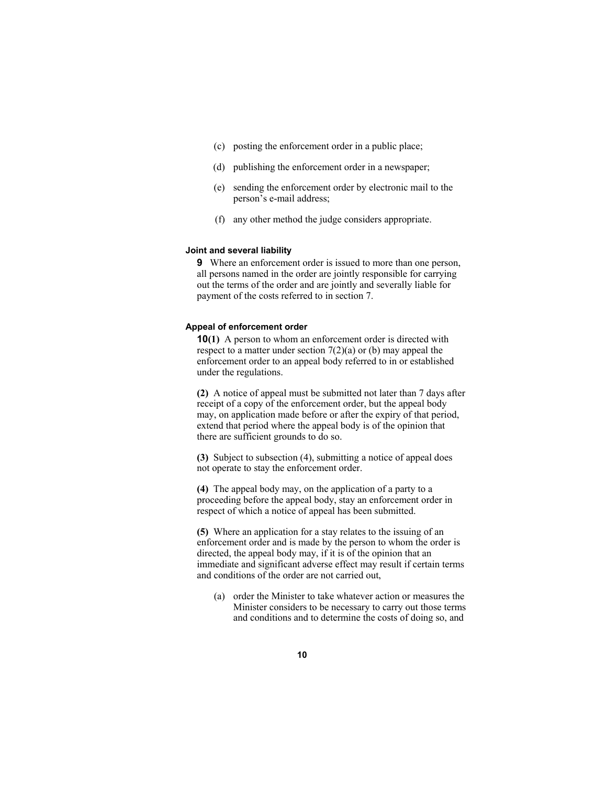- (c) posting the enforcement order in a public place;
- (d) publishing the enforcement order in a newspaper;
- (e) sending the enforcement order by electronic mail to the person's e-mail address;
- (f) any other method the judge considers appropriate.

#### **Joint and several liability**

**9** Where an enforcement order is issued to more than one person, all persons named in the order are jointly responsible for carrying out the terms of the order and are jointly and severally liable for payment of the costs referred to in section 7.

#### **Appeal of enforcement order**

**10(1)** A person to whom an enforcement order is directed with respect to a matter under section 7(2)(a) or (b) may appeal the enforcement order to an appeal body referred to in or established under the regulations.

**(2)** A notice of appeal must be submitted not later than 7 days after receipt of a copy of the enforcement order, but the appeal body may, on application made before or after the expiry of that period, extend that period where the appeal body is of the opinion that there are sufficient grounds to do so.

**(3)** Subject to subsection (4), submitting a notice of appeal does not operate to stay the enforcement order.

**(4)** The appeal body may, on the application of a party to a proceeding before the appeal body, stay an enforcement order in respect of which a notice of appeal has been submitted.

**(5)** Where an application for a stay relates to the issuing of an enforcement order and is made by the person to whom the order is directed, the appeal body may, if it is of the opinion that an immediate and significant adverse effect may result if certain terms and conditions of the order are not carried out,

 (a) order the Minister to take whatever action or measures the Minister considers to be necessary to carry out those terms and conditions and to determine the costs of doing so, and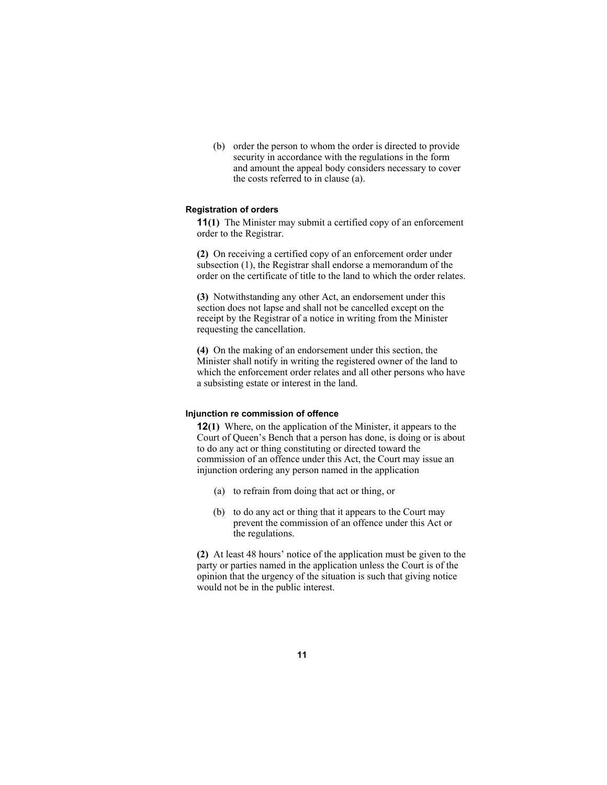(b) order the person to whom the order is directed to provide security in accordance with the regulations in the form and amount the appeal body considers necessary to cover the costs referred to in clause (a).

#### **Registration of orders**

**11(1)** The Minister may submit a certified copy of an enforcement order to the Registrar.

**(2)** On receiving a certified copy of an enforcement order under subsection (1), the Registrar shall endorse a memorandum of the order on the certificate of title to the land to which the order relates.

**(3)** Notwithstanding any other Act, an endorsement under this section does not lapse and shall not be cancelled except on the receipt by the Registrar of a notice in writing from the Minister requesting the cancellation.

**(4)** On the making of an endorsement under this section, the Minister shall notify in writing the registered owner of the land to which the enforcement order relates and all other persons who have a subsisting estate or interest in the land.

#### **Injunction re commission of offence**

**12(1)** Where, on the application of the Minister, it appears to the Court of Queen's Bench that a person has done, is doing or is about to do any act or thing constituting or directed toward the commission of an offence under this Act, the Court may issue an injunction ordering any person named in the application

- (a) to refrain from doing that act or thing, or
- (b) to do any act or thing that it appears to the Court may prevent the commission of an offence under this Act or the regulations.

**(2)** At least 48 hours' notice of the application must be given to the party or parties named in the application unless the Court is of the opinion that the urgency of the situation is such that giving notice would not be in the public interest.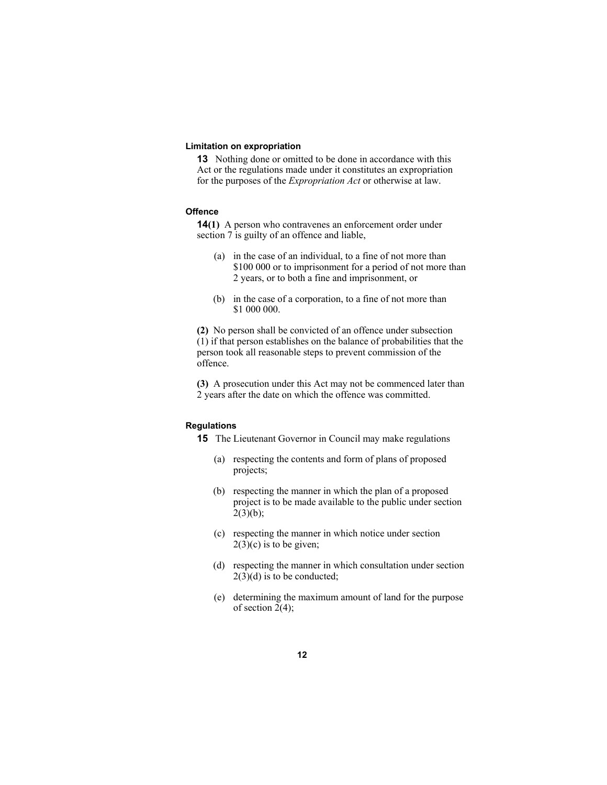#### **Limitation on expropriation**

**13** Nothing done or omitted to be done in accordance with this Act or the regulations made under it constitutes an expropriation for the purposes of the *Expropriation Act* or otherwise at law.

#### **Offence**

**14(1)** A person who contravenes an enforcement order under section 7 is guilty of an offence and liable,

- (a) in the case of an individual, to a fine of not more than \$100 000 or to imprisonment for a period of not more than 2 years, or to both a fine and imprisonment, or
- (b) in the case of a corporation, to a fine of not more than \$1 000 000.

**(2)** No person shall be convicted of an offence under subsection (1) if that person establishes on the balance of probabilities that the person took all reasonable steps to prevent commission of the offence.

**(3)** A prosecution under this Act may not be commenced later than 2 years after the date on which the offence was committed.

#### **Regulations**

**15** The Lieutenant Governor in Council may make regulations

- (a) respecting the contents and form of plans of proposed projects;
- (b) respecting the manner in which the plan of a proposed project is to be made available to the public under section  $2(3)(b)$ ;
- (c) respecting the manner in which notice under section  $2(3)(c)$  is to be given;
- (d) respecting the manner in which consultation under section  $2(3)(d)$  is to be conducted;
- (e) determining the maximum amount of land for the purpose of section  $2(4)$ ;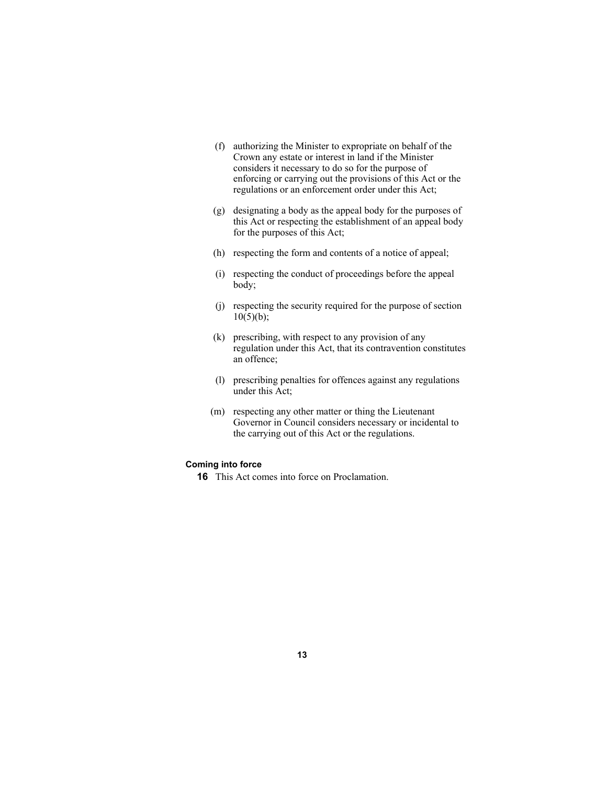- (f) authorizing the Minister to expropriate on behalf of the Crown any estate or interest in land if the Minister considers it necessary to do so for the purpose of enforcing or carrying out the provisions of this Act or the regulations or an enforcement order under this Act;
- (g) designating a body as the appeal body for the purposes of this Act or respecting the establishment of an appeal body for the purposes of this Act;
- (h) respecting the form and contents of a notice of appeal;
- (i) respecting the conduct of proceedings before the appeal body;
- (j) respecting the security required for the purpose of section  $10(5)(b)$ ;
- (k) prescribing, with respect to any provision of any regulation under this Act, that its contravention constitutes an offence;
- (l) prescribing penalties for offences against any regulations under this Act;
- (m) respecting any other matter or thing the Lieutenant Governor in Council considers necessary or incidental to the carrying out of this Act or the regulations.

#### **Coming into force**

**16** This Act comes into force on Proclamation.